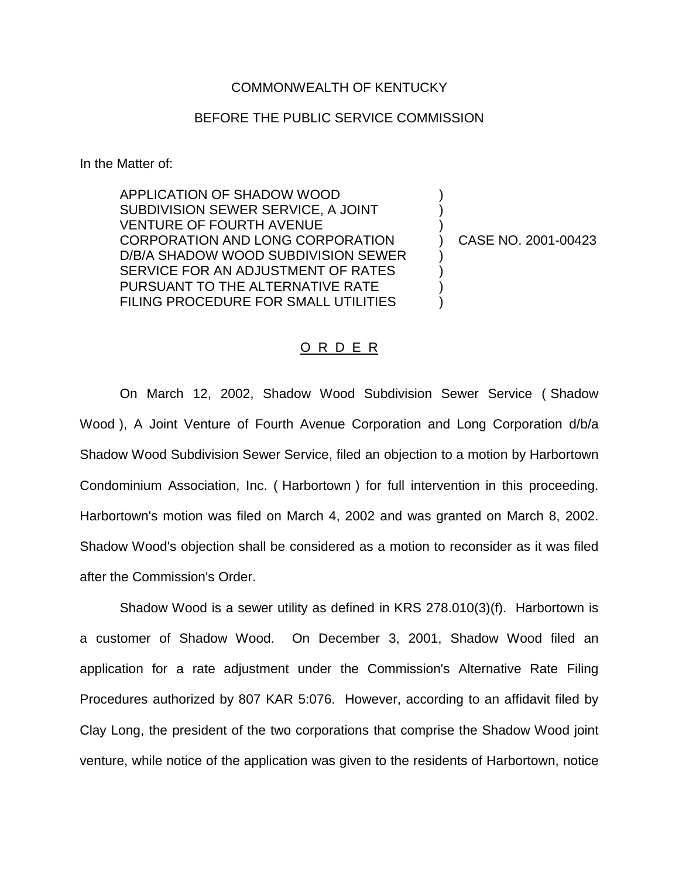## COMMONWEALTH OF KENTUCKY

## BEFORE THE PUBLIC SERVICE COMMISSION

In the Matter of:

APPLICATION OF SHADOW WOOD  $)$ SUBDIVISION SEWER SERVICE, A JOINT VENTURE OF FOURTH AVENUE CORPORATION AND LONG CORPORATION ) CASE NO. 2001-00423 D/B/A SHADOW WOOD SUBDIVISION SEWER SERVICE FOR AN ADJUSTMENT OF RATES  $\qquad \qquad )$ PURSUANT TO THE ALTERNATIVE RATE  $\qquad \qquad$ FILING PROCEDURE FOR SMALL UTILITIES

## O R D E R

On March 12, 2002, Shadow Wood Subdivision Sewer Service ( Shadow Wood ), A Joint Venture of Fourth Avenue Corporation and Long Corporation d/b/a Shadow Wood Subdivision Sewer Service, filed an objection to a motion by Harbortown Condominium Association, Inc. ( Harbortown ) for full intervention in this proceeding. Harbortown's motion was filed on March 4, 2002 and was granted on March 8, 2002. Shadow Wood's objection shall be considered as a motion to reconsider as it was filed after the Commission's Order.

Shadow Wood is a sewer utility as defined in KRS 278.010(3)(f). Harbortown is a customer of Shadow Wood. On December 3, 2001, Shadow Wood filed an application for a rate adjustment under the Commission's Alternative Rate Filing Procedures authorized by 807 KAR 5:076. However, according to an affidavit filed by Clay Long, the president of the two corporations that comprise the Shadow Wood joint venture, while notice of the application was given to the residents of Harbortown, notice